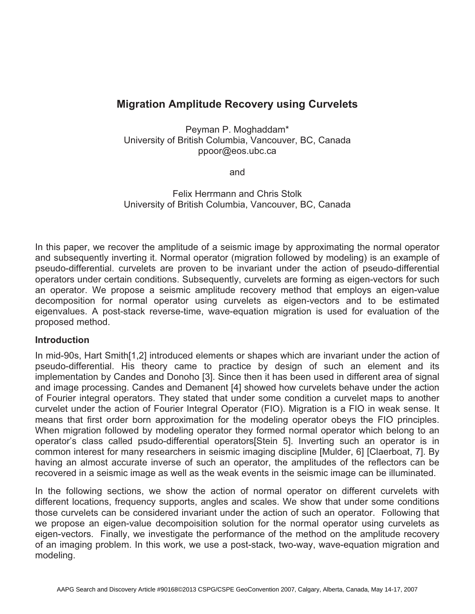# **Migration Amplitude Recovery using Curvelets**

Peyman P. Moghaddam\* University of British Columbia, Vancouver, BC, Canada ppoor@eos.ubc.ca

and

Felix Herrmann and Chris Stolk University of British Columbia, Vancouver, BC, Canada

In this paper, we recover the amplitude of a seismic image by approximating the normal operator and subsequently inverting it. Normal operator (migration followed by modeling) is an example of pseudo-differential. curvelets are proven to be invariant under the action of pseudo-differential operators under certain conditions. Subsequently, curvelets are forming as eigen-vectors for such an operator. We propose a seismic amplitude recovery method that employs an eigen-value decomposition for normal operator using curvelets as eigen-vectors and to be estimated eigenvalues. A post-stack reverse-time, wave-equation migration is used for evaluation of the proposed method.

#### **Introduction**

In mid-90s, Hart Smith[1,2] introduced elements or shapes which are invariant under the action of pseudo-differential. His theory came to practice by design of such an element and its implementation by Candes and Donoho [3]. Since then it has been used in different area of signal and image processing. Candes and Demanent [4] showed how curvelets behave under the action of Fourier integral operators. They stated that under some condition a curvelet maps to another curvelet under the action of Fourier Integral Operator (FIO). Migration is a FIO in weak sense. It means that first order born approximation for the modeling operator obeys the FIO principles. When migration followed by modeling operator they formed normal operator which belong to an operator's class called psudo-differential operators[Stein 5]. Inverting such an operator is in common interest for many researchers in seismic imaging discipline [Mulder, 6] [Claerboat, 7]. By having an almost accurate inverse of such an operator, the amplitudes of the reflectors can be recovered in a seismic image as well as the weak events in the seismic image can be illuminated.

In the following sections, we show the action of normal operator on different curvelets with different locations, frequency supports, angles and scales. We show that under some conditions those curvelets can be considered invariant under the action of such an operator. Following that we propose an eigen-value decompoisition solution for the normal operator using curvelets as eigen-vectors. Finally, we investigate the performance of the method on the amplitude recovery of an imaging problem. In this work, we use a post-stack, two-way, wave-equation migration and modeling.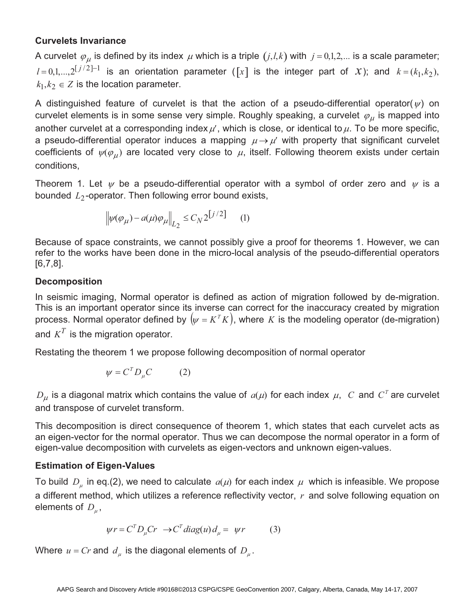# **Curvelets Invariance**

A curvelet  $\varphi_\mu$  is defined by its index  $\mu$  which is a triple  $(j,l,k)$  with  $j = 0,1,2,...$  is a scale parameter;  $l = 0,1,...,2^{\lfloor j/2 \rfloor - 1}$  is an orientation parameter ( $\lfloor x \rfloor$  is the integer part of *x*); and  $k = (k_1, k_2)$ ,  $k_1, k_2 \in \mathbb{Z}$  is the location parameter.

A distinguished feature of curvelet is that the action of a pseudo-differential operator( $\psi$ ) on curvelet elements is in some sense very simple. Roughly speaking, a curvelet  $\,\varphi_{\mu}^{}$  is mapped into another curvelet at a corresponding index  $\mu'$ , which is close, or identical to  $\mu$ . To be more specific, a pseudo-differential operator induces a mapping  $\mu \rightarrow \mu'$  with property that significant curvelet coefficients of  $\psi(\varphi_\mu)$  are located very close to  $\mu$ , itself. Following theorem exists under certain conditions,

Theorem 1. Let  $\psi$  be a pseudo-differential operator with a symbol of order zero and  $\psi$  is a bounded *L*<sub>2</sub>-operator. Then following error bound exists,

$$
\left\|\psi(\varphi_\mu) - a(\mu)\varphi_\mu\right\|_{L_2} \le C_N 2^{\left[j/2\right]} \qquad (1)
$$

Because of space constraints, we cannot possibly give a proof for theorems 1. However, we can refer to the works have been done in the micro-local analysis of the pseudo-differential operators [6,7,8].

### **Decomposition**

In seismic imaging, Normal operator is defined as action of migration followed by de-migration. This is an important operator since its inverse can correct for the inaccuracy created by migration process. Normal operator defined by  $(\psi = K^T K)$ , where *K* is the modeling operator (de-migration) and  $K^T$  is the migration operator.

Restating the theorem 1 we propose following decomposition of normal operator

$$
\psi = C^T D_\mu C \qquad (2)
$$

 $D_{\mu}$  is a diagonal matrix which contains the value of  $a(\mu)$  for each index  $\mu$ , *C* and  $C^{T}$  are curvelet and transpose of curvelet transform.

This decomposition is direct consequence of theorem 1, which states that each curvelet acts as an eigen-vector for the normal operator. Thus we can decompose the normal operator in a form of eigen-value decomposition with curvelets as eigen-vectors and unknown eigen-values.

# **Estimation of Eigen-Values**

To build  $D_{\mu}$  in eq.(2), we need to calculate  $a(\mu)$  for each index  $\mu$  which is infeasible. We propose a different method, which utilizes a reference reflectivity vector, *r* and solve following equation on elements of  $D_{\mu}$ ,

$$
\psi r = C^T D_\mu C r \rightarrow C^T diag(u) d_\mu = \psi r \tag{3}
$$

Where  $u = Cr$  and  $d_u$  is the diagonal elements of  $D_u$ .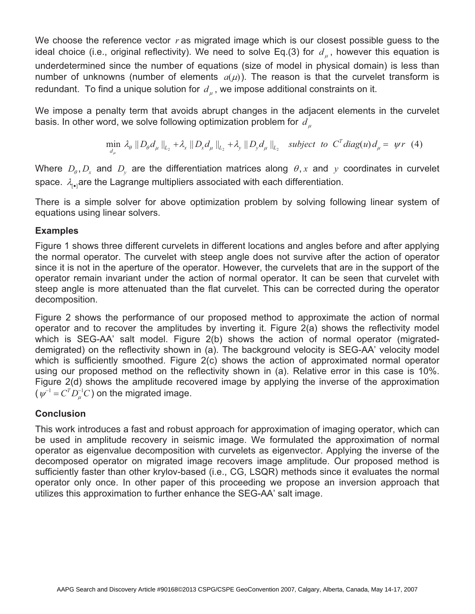We choose the reference vector r as migrated image which is our closest possible guess to the ideal choice (i.e., original reflectivity). We need to solve Eq.(3) for  $d_{\mu}$ , however this equation is underdetermined since the number of equations (size of model in physical domain) is less than number of unknowns (number of elements  $a(\mu)$ ). The reason is that the curvelet transform is redundant. To find a unique solution for  $d_{\mu}$ , we impose additional constraints on it.

We impose a penalty term that avoids abrupt changes in the adjacent elements in the curvelet basis. In other word, we solve following optimization problem for *d*

$$
\min_{d_{\mu}} \lambda_{\theta} \|D_{\theta} d_{\mu}\|_{L_2} + \lambda_{x} \|D_{x} d_{\mu}\|_{L_2} + \lambda_{y} \|D_{y} d_{\mu}\|_{L_2} \text{ subject to } C^T \text{diag}(u) d_{\mu} = \psi r \tag{4}
$$

Where  $D_{\theta}, D_{x}$  and  $D_{y}$  are the differentiation matrices along  $\theta$ , *x* and *y* coordinates in curvelet space.  $\lambda_{\text{rel}}$  are the Lagrange multipliers associated with each differentiation.

There is a simple solver for above optimization problem by solving following linear system of equations using linear solvers.

### **Examples**

Figure 1 shows three different curvelets in different locations and angles before and after applying the normal operator. The curvelet with steep angle does not survive after the action of operator since it is not in the aperture of the operator. However, the curvelets that are in the support of the operator remain invariant under the action of normal operator. It can be seen that curvelet with steep angle is more attenuated than the flat curvelet. This can be corrected during the operator decomposition.

Figure 2 shows the performance of our proposed method to approximate the action of normal operator and to recover the amplitudes by inverting it. Figure 2(a) shows the reflectivity model which is SEG-AA' salt model. Figure 2(b) shows the action of normal operator (migrateddemigrated) on the reflectivity shown in (a). The background velocity is SEG-AA' velocity model which is sufficiently smoothed. Figure 2(c) shows the action of approximated normal operator using our proposed method on the reflectivity shown in (a). Relative error in this case is 10%. Figure 2(d) shows the amplitude recovered image by applying the inverse of the approximation  $(\psi^{-1} = C^T D_{\mu}^{-1} C)$  on the migrated image.

# **Conclusion**

This work introduces a fast and robust approach for approximation of imaging operator, which can be used in amplitude recovery in seismic image. We formulated the approximation of normal operator as eigenvalue decomposition with curvelets as eigenvector. Applying the inverse of the decomposed operator on migrated image recovers image amplitude. Our proposed method is sufficiently faster than other krylov-based (i.e., CG, LSQR) methods since it evaluates the normal operator only once. In other paper of this proceeding we propose an inversion approach that utilizes this approximation to further enhance the SEG-AA' salt image.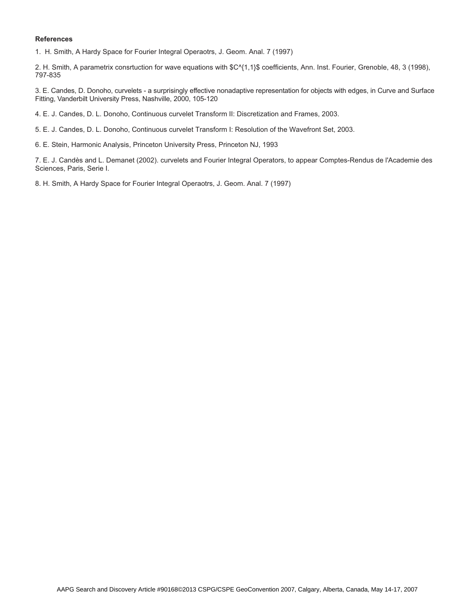#### **References**

1. H. Smith, A Hardy Space for Fourier Integral Operaotrs, J. Geom. Anal. 7 (1997)

2. H. Smith, A parametrix consrtuction for wave equations with \$C^{1,1}\$ coefficients, Ann. Inst. Fourier, Grenoble, 48, 3 (1998), 797-835

3. E. Candes, D. Donoho, curvelets - a surprisingly effective nonadaptive representation for objects with edges, in Curve and Surface Fitting, Vanderbilt University Press, Nashville, 2000, 105-120

4. E. J. Candes, D. L. Donoho, Continuous curvelet Transform II: Discretization and Frames, 2003.

5. E. J. Candes, D. L. Donoho, Continuous curvelet Transform I: Resolution of the Wavefront Set, 2003.

6. E. Stein, Harmonic Analysis, Princeton University Press, Princeton NJ, 1993

7. E. J. Candès and L. Demanet (2002). curvelets and Fourier Integral Operators, to appear Comptes-Rendus de l'Academie des Sciences, Paris, Serie I.

8. H. Smith, A Hardy Space for Fourier Integral Operaotrs, J. Geom. Anal. 7 (1997)